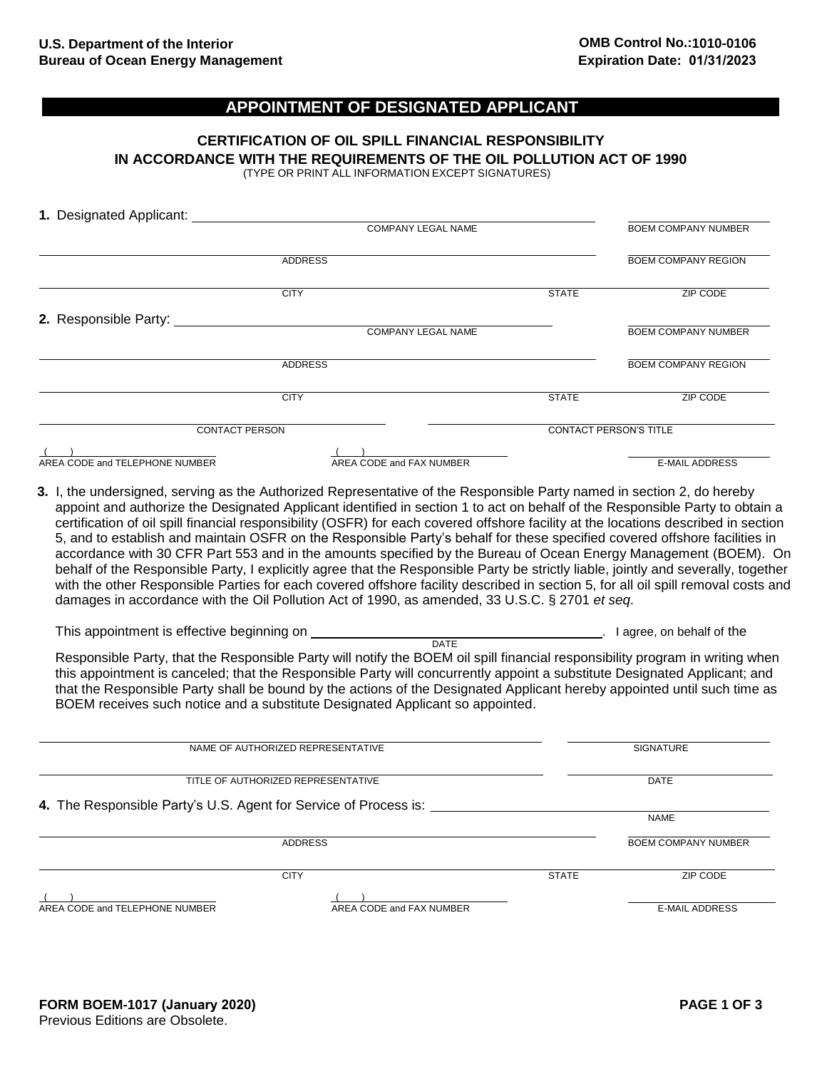## **APPOINTMENT OF DESIGNATED APPLICANT**

## **CERTIFICATION OF OIL SPILL FINANCIAL RESPONSIBILITY IN ACCORDANCE WITH THE REQUIREMENTS OF THE OIL POLLUTION ACT OF 1990**

(TYPE OR PRINT ALL INFORMATION EXCEPT SIGNATURES)

| 1. Designated Applicant:       |                                                                                                                                                                                                                                                                                                                                                                                                                                                                                                                                                                                                                                                                                                                                                                                                                                                                                                                                                                                                                              |                               |                            |  |
|--------------------------------|------------------------------------------------------------------------------------------------------------------------------------------------------------------------------------------------------------------------------------------------------------------------------------------------------------------------------------------------------------------------------------------------------------------------------------------------------------------------------------------------------------------------------------------------------------------------------------------------------------------------------------------------------------------------------------------------------------------------------------------------------------------------------------------------------------------------------------------------------------------------------------------------------------------------------------------------------------------------------------------------------------------------------|-------------------------------|----------------------------|--|
|                                | COMPANY LEGAL NAME                                                                                                                                                                                                                                                                                                                                                                                                                                                                                                                                                                                                                                                                                                                                                                                                                                                                                                                                                                                                           |                               | <b>BOEM COMPANY NUMBER</b> |  |
|                                | <b>ADDRESS</b>                                                                                                                                                                                                                                                                                                                                                                                                                                                                                                                                                                                                                                                                                                                                                                                                                                                                                                                                                                                                               |                               | <b>BOEM COMPANY REGION</b> |  |
|                                | <b>CITY</b>                                                                                                                                                                                                                                                                                                                                                                                                                                                                                                                                                                                                                                                                                                                                                                                                                                                                                                                                                                                                                  | <b>STATE</b>                  | ZIP CODE                   |  |
| 2. Responsible Party:          |                                                                                                                                                                                                                                                                                                                                                                                                                                                                                                                                                                                                                                                                                                                                                                                                                                                                                                                                                                                                                              |                               |                            |  |
|                                | <b>COMPANY LEGAL NAME</b>                                                                                                                                                                                                                                                                                                                                                                                                                                                                                                                                                                                                                                                                                                                                                                                                                                                                                                                                                                                                    |                               | <b>BOEM COMPANY NUMBER</b> |  |
|                                | <b>ADDRESS</b>                                                                                                                                                                                                                                                                                                                                                                                                                                                                                                                                                                                                                                                                                                                                                                                                                                                                                                                                                                                                               |                               | <b>BOEM COMPANY REGION</b> |  |
|                                | <b>CITY</b>                                                                                                                                                                                                                                                                                                                                                                                                                                                                                                                                                                                                                                                                                                                                                                                                                                                                                                                                                                                                                  | <b>STATE</b>                  | ZIP CODE                   |  |
| <b>CONTACT PERSON</b>          |                                                                                                                                                                                                                                                                                                                                                                                                                                                                                                                                                                                                                                                                                                                                                                                                                                                                                                                                                                                                                              | <b>CONTACT PERSON'S TITLE</b> |                            |  |
| AREA CODE and TELEPHONE NUMBER | AREA CODE and FAX NUMBER                                                                                                                                                                                                                                                                                                                                                                                                                                                                                                                                                                                                                                                                                                                                                                                                                                                                                                                                                                                                     |                               | <b>E-MAIL ADDRESS</b>      |  |
|                                | 3. I, the undersigned, serving as the Authorized Representative of the Responsible Party named in section 2, do hereby<br>appoint and authorize the Designated Applicant identified in section 1 to act on behalf of the Responsible Party to obtain a<br>certification of oil spill financial responsibility (OSFR) for each covered offshore facility at the locations described in section<br>5, and to establish and maintain OSFR on the Responsible Party's behalf for these specified covered offshore facilities in<br>accordance with 30 CFR Part 553 and in the amounts specified by the Bureau of Ocean Energy Management (BOEM). On<br>behalf of the Responsible Party, I explicitly agree that the Responsible Party be strictly liable, jointly and severally, together<br>with the other Responsible Parties for each covered offshore facility described in section 5, for all oil spill removal costs and<br>damages in accordance with the Oil Pollution Act of 1990, as amended, 33 U.S.C. § 2701 et seq. |                               |                            |  |

| This appointment is effective beginning on | I agree, on behalf of the                                                                                                     |
|--------------------------------------------|-------------------------------------------------------------------------------------------------------------------------------|
|                                            | DATE                                                                                                                          |
|                                            | Responsible Party, that the Responsible Party will notify the BOEM oil spill financial responsibility program in writing when |
|                                            | this appointment is equaled; that the Pearcosible Darty will equal required a quipotitute Designated Applicant; and           |

this appointment is canceled; that the Responsible Party will concurrently appoint a substitute Designated Applicant; and that the Responsible Party shall be bound by the actions of the Designated Applicant hereby appointed until such time as BOEM receives such notice and a substitute Designated Applicant so appointed.

| NAME OF AUTHORIZED REPRESENTATIVE                                |                          |              | <b>SIGNATURE</b>           |  |
|------------------------------------------------------------------|--------------------------|--------------|----------------------------|--|
| TITLE OF AUTHORIZED REPRESENTATIVE                               | <b>DATE</b>              |              |                            |  |
| 4. The Responsible Party's U.S. Agent for Service of Process is: |                          |              |                            |  |
|                                                                  |                          |              | <b>NAME</b>                |  |
|                                                                  | <b>ADDRESS</b>           |              | <b>BOEM COMPANY NUMBER</b> |  |
|                                                                  | <b>CITY</b>              | <b>STATE</b> | ZIP CODE                   |  |
|                                                                  |                          |              |                            |  |
| AREA CODE and TELEPHONE NUMBER                                   | AREA CODE and FAX NUMBER |              | <b>E-MAIL ADDRESS</b>      |  |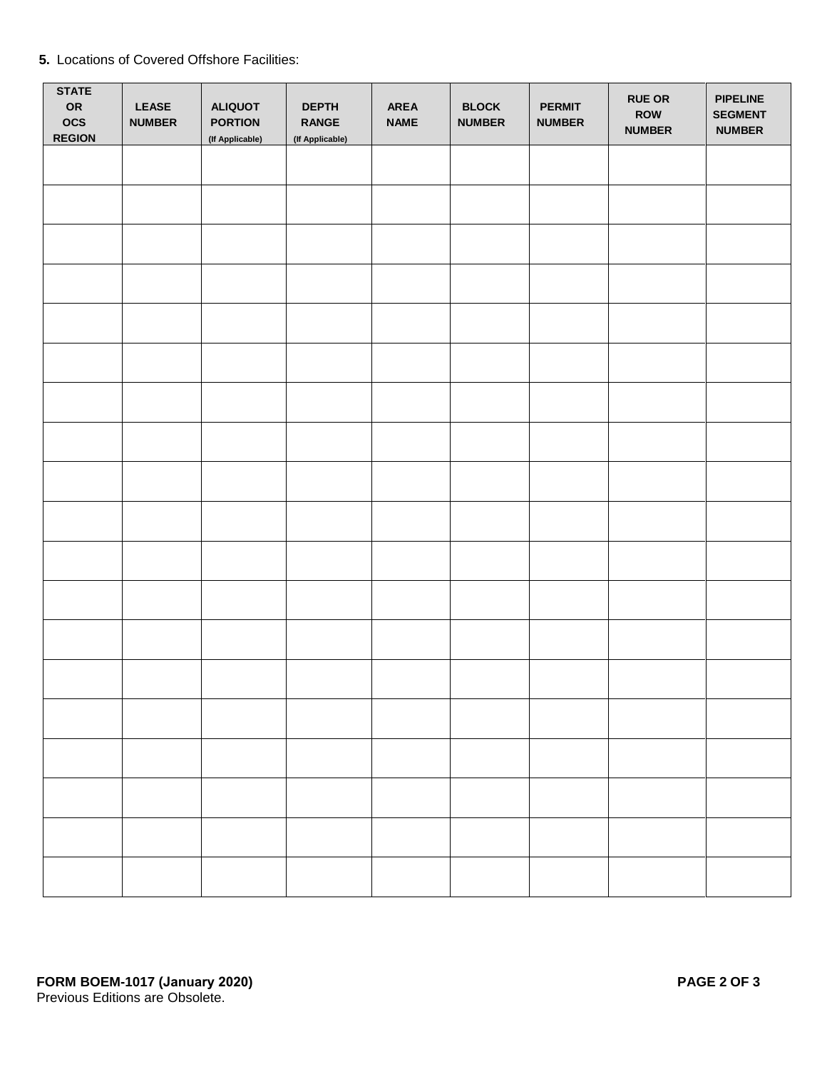|  | 5. Locations of Covered Offshore Facilities: |  |  |  |
|--|----------------------------------------------|--|--|--|
|--|----------------------------------------------|--|--|--|

| <b>STATE</b><br>OR<br>$_{\rm OCS}$<br><b>REGION</b> | <b>LEASE</b><br><b>NUMBER</b> | <b>ALIQUOT</b><br><b>PORTION</b><br>(If Applicable) | <b>DEPTH</b><br><b>RANGE</b><br>(If Applicable) | AREA<br><b>NAME</b> | <b>BLOCK</b><br><b>NUMBER</b> | <b>PERMIT</b><br><b>NUMBER</b> | <b>RUE OR</b><br>ROW<br><b>NUMBER</b> | <b>PIPELINE</b><br><b>SEGMENT</b><br><b>NUMBER</b> |
|-----------------------------------------------------|-------------------------------|-----------------------------------------------------|-------------------------------------------------|---------------------|-------------------------------|--------------------------------|---------------------------------------|----------------------------------------------------|
|                                                     |                               |                                                     |                                                 |                     |                               |                                |                                       |                                                    |
|                                                     |                               |                                                     |                                                 |                     |                               |                                |                                       |                                                    |
|                                                     |                               |                                                     |                                                 |                     |                               |                                |                                       |                                                    |
|                                                     |                               |                                                     |                                                 |                     |                               |                                |                                       |                                                    |
|                                                     |                               |                                                     |                                                 |                     |                               |                                |                                       |                                                    |
|                                                     |                               |                                                     |                                                 |                     |                               |                                |                                       |                                                    |
|                                                     |                               |                                                     |                                                 |                     |                               |                                |                                       |                                                    |
|                                                     |                               |                                                     |                                                 |                     |                               |                                |                                       |                                                    |
|                                                     |                               |                                                     |                                                 |                     |                               |                                |                                       |                                                    |
|                                                     |                               |                                                     |                                                 |                     |                               |                                |                                       |                                                    |
|                                                     |                               |                                                     |                                                 |                     |                               |                                |                                       |                                                    |
|                                                     |                               |                                                     |                                                 |                     |                               |                                |                                       |                                                    |
|                                                     |                               |                                                     |                                                 |                     |                               |                                |                                       |                                                    |
|                                                     |                               |                                                     |                                                 |                     |                               |                                |                                       |                                                    |
|                                                     |                               |                                                     |                                                 |                     |                               |                                |                                       |                                                    |
|                                                     |                               |                                                     |                                                 |                     |                               |                                |                                       |                                                    |
|                                                     |                               |                                                     |                                                 |                     |                               |                                |                                       |                                                    |
|                                                     |                               |                                                     |                                                 |                     |                               |                                |                                       |                                                    |
|                                                     |                               |                                                     |                                                 |                     |                               |                                |                                       |                                                    |